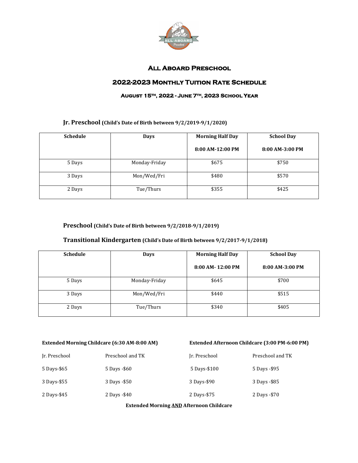

## **All Aboard Preschool**

## **2022-2023 Monthly Tuition Rate Schedule**

#### **August 15th, 2022 - June 7th, 2023 School Year**

### **Jr. Preschool (Child's Date of Birth between 9/2/2019-9/1/2020)**

| <b>Schedule</b> | Days          | <b>Morning Half Day</b> | <b>School Day</b> |
|-----------------|---------------|-------------------------|-------------------|
|                 |               | 8:00 AM-12:00 PM        | 8:00 AM-3:00 PM   |
| 5 Days          | Monday-Friday | \$675                   | \$750             |
| 3 Days          | Mon/Wed/Fri   | \$480                   | \$570             |
| 2 Days          | Tue/Thurs     | \$355                   | \$425             |

#### **Preschool (Child's Date of Birth between 9/2/2018-9/1/2019)**

#### **Transitional Kindergarten (Child's Date of Birth between 9/2/2017-9/1/2018)**

| <b>Schedule</b> | <b>Days</b>   | <b>Morning Half Day</b> | <b>School Day</b> |
|-----------------|---------------|-------------------------|-------------------|
|                 |               | 8:00 AM-12:00 PM        | 8:00 AM-3:00 PM   |
| 5 Days          | Monday-Friday | \$645                   | \$700             |
| 3 Days          | Mon/Wed/Fri   | \$440                   | \$515             |
| 2 Days          | Tue/Thurs     | \$340                   | \$405             |

#### **Extended Morning Childcare (6:30 AM-8:00 AM) Extended Afternoon Childcare (3:00 PM-6:00 PM)**

| Ir. Preschool | Preschool and TK | Ir. Preschool | Preschool and TK |
|---------------|------------------|---------------|------------------|
| 5 Days-\$65   | 5 Days - \$60    | 5 Days-\$100  | 5 Days - \$95    |
| 3 Days-\$55   | 3 Days - \$50    | 3 Days-\$90   | 3 Days - \$85    |
| 2 Days-\$45   | 2 Days - \$40    | 2 Days-\$75   | 2 Days - \$70    |

**Extended Morning AND Afternoon Childcare**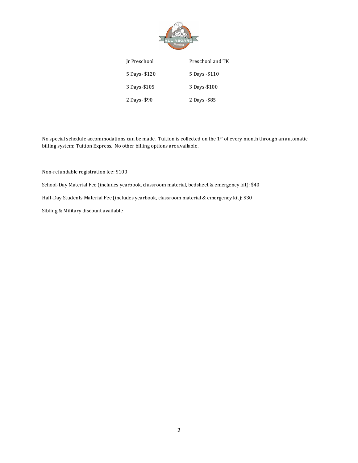

| Ir Preschool | Preschool and TK |
|--------------|------------------|
| 5 Days-\$120 | 5 Days - \$110   |
| 3 Days-\$105 | 3 Days-\$100     |
| 2 Days-\$90  | 2 Days - \$85    |

No special schedule accommodations can be made. Tuition is collected on the 1st of every month through an automatic billing system; Tuition Express. No other billing options are available.

Non-refundable registration fee: \$100

School-Day Material Fee (includes yearbook, classroom material, bedsheet & emergency kit): \$40

Half-Day Students Material Fee (includes yearbook, classroom material & emergency kit): \$30

Sibling & Military discount available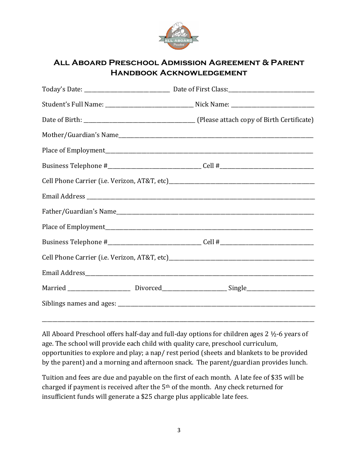

# **All Aboard Preschool Admission Agreement & Parent Handbook Acknowledgement**

| Married _________________________ Divorced_______________________Single____________________________ |
|-----------------------------------------------------------------------------------------------------|
|                                                                                                     |

All Aboard Preschool offers half-day and full-day options for children ages 2 ½-6 years of age. The school will provide each child with quality care, preschool curriculum, opportunities to explore and play; a nap/ rest period (sheets and blankets to be provided by the parent) and a morning and afternoon snack. The parent/guardian provides lunch.

\_\_\_\_\_\_\_\_\_\_\_\_\_\_\_\_\_\_\_\_\_\_\_\_\_\_\_\_\_\_\_\_\_\_\_\_\_\_\_\_\_\_\_\_\_\_\_\_\_\_\_\_\_\_\_\_\_\_\_\_\_\_\_\_\_\_\_\_\_\_\_\_\_\_\_\_\_\_\_\_\_\_\_\_\_\_\_\_\_\_\_\_\_\_\_\_\_\_\_\_\_\_\_\_\_

Tuition and fees are due and payable on the first of each month. A late fee of \$35 will be charged if payment is received after the 5th of the month. Any check returned for insufficient funds will generate a \$25 charge plus applicable late fees.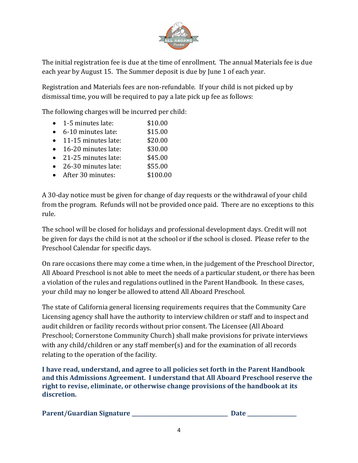

The initial registration fee is due at the time of enrollment. The annual Materials fee is due each year by August 15. The Summer deposit is due by June 1 of each year.

Registration and Materials fees are non-refundable. If your child is not picked up by dismissal time, you will be required to pay a late pick up fee as follows:

The following charges will be incurred per child:

- 1-5 minutes late: \$10.00 • 6-10 minutes late: \$15.00 • 11-15 minutes late: \$20.00 • 16-20 minutes late: \$30.00 • 21-25 minutes late: \$45.00
- 26-30 minutes late: \$55.00
- After 30 minutes: \$100.00
- 

A 30-day notice must be given for change of day requests or the withdrawal of your child from the program. Refunds will not be provided once paid. There are no exceptions to this rule.

The school will be closed for holidays and professional development days. Credit will not be given for days the child is not at the school or if the school is closed. Please refer to the Preschool Calendar for specific days.

On rare occasions there may come a time when, in the judgement of the Preschool Director, All Aboard Preschool is not able to meet the needs of a particular student, or there has been a violation of the rules and regulations outlined in the Parent Handbook. In these cases, your child may no longer be allowed to attend All Aboard Preschool.

The state of California general licensing requirements requires that the Community Care Licensing agency shall have the authority to interview children or staff and to inspect and audit children or facility records without prior consent. The Licensee (All Aboard Preschool; Cornerstone Community Church) shall make provisions for private interviews with any child/children or any staff member(s) and for the examination of all records relating to the operation of the facility.

**I have read, understand, and agree to all policies set forth in the Parent Handbook and this Admissions Agreement. I understand that All Aboard Preschool reserve the right to revise, eliminate, or otherwise change provisions of the handbook at its discretion.**

| Parent/Guardian Signature |  | <b>Date</b> |
|---------------------------|--|-------------|
|---------------------------|--|-------------|